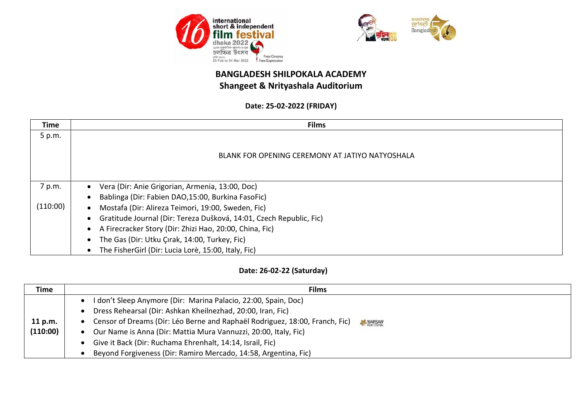



#### **Date: 25-02-2022 (FRIDAY)**

| Time     | <b>Films</b>                                                        |
|----------|---------------------------------------------------------------------|
| 5 p.m.   |                                                                     |
|          |                                                                     |
|          | BLANK FOR OPENING CEREMONY AT JATIYO NATYOSHALA                     |
|          |                                                                     |
|          |                                                                     |
| 7 p.m.   | Vera (Dir: Anie Grigorian, Armenia, 13:00, Doc)                     |
|          | Bablinga (Dir: Fabien DAO,15:00, Burkina FasoFic)                   |
| (110:00) | Mostafa (Dir: Alireza Teimori, 19:00, Sweden, Fic)                  |
|          | Gratitude Journal (Dir: Tereza Dušková, 14:01, Czech Republic, Fic) |
|          | A Firecracker Story (Dir: Zhizi Hao, 20:00, China, Fic)             |
|          | The Gas (Dir: Utku Çırak, 14:00, Turkey, Fic)                       |
|          | The FisherGirl (Dir: Lucia Lorè, 15:00, Italy, Fic)                 |

### **Date: 26-02-22 (Saturday)**

| <b>Time</b>         | <b>Films</b>                                                                                                                                                                                                                                                                                                                                                                                                              |
|---------------------|---------------------------------------------------------------------------------------------------------------------------------------------------------------------------------------------------------------------------------------------------------------------------------------------------------------------------------------------------------------------------------------------------------------------------|
| 11 p.m.<br>(110:00) | I don't Sleep Anymore (Dir: Marina Palacio, 22:00, Spain, Doc)<br>Dress Rehearsal (Dir: Ashkan Kheilnezhad, 20:00, Iran, Fic)<br>Censor of Dreams (Dir: Léo Berne and Raphaël Rodriguez, 18:00, Franch, Fic)<br>WARSAW<br>Our Name is Anna (Dir: Mattia Mura Vannuzzi, 20:00, Italy, Fic)<br>Give it Back (Dir: Ruchama Ehrenhalt, 14:14, Israil, Fic)<br>Beyond Forgiveness (Dir: Ramiro Mercado, 14:58, Argentina, Fic) |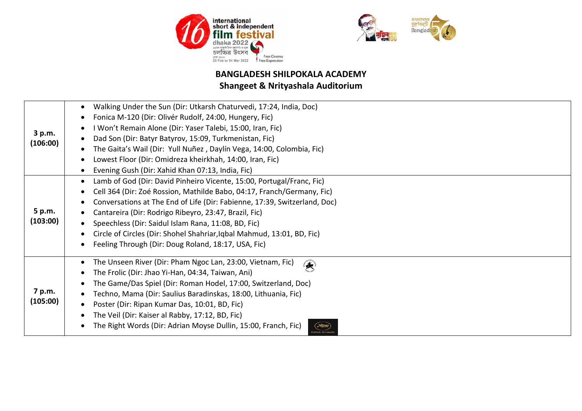



| 3 p.m.<br>(106:00)<br>5 p.m.<br>(103:00) | Walking Under the Sun (Dir: Utkarsh Chaturvedi, 17:24, India, Doc)<br>Fonica M-120 (Dir: Olivér Rudolf, 24:00, Hungery, Fic)<br>I Won't Remain Alone (Dir: Yaser Talebi, 15:00, Iran, Fic)<br>Dad Son (Dir: Batyr Batyrov, 15:09, Turkmenistan, Fic)<br>The Gaita's Wail (Dir: Yull Nuñez, Daylín Vega, 14:00, Colombia, Fic)<br>Lowest Floor (Dir: Omidreza kheirkhah, 14:00, Iran, Fic)<br>Evening Gush (Dir: Xahid Khan 07:13, India, Fic)<br>Lamb of God (Dir: David Pinheiro Vicente, 15:00, Portugal/Franc, Fic)<br>Cell 364 (Dir: Zoé Rossion, Mathilde Babo, 04:17, Franch/Germany, Fic)<br>Conversations at The End of Life (Dir: Fabienne, 17:39, Switzerland, Doc)<br>Cantareira (Dir: Rodrigo Ribeyro, 23:47, Brazil, Fic)<br>Speechless (Dir: Saidul Islam Rana, 11:08, BD, Fic) |
|------------------------------------------|-----------------------------------------------------------------------------------------------------------------------------------------------------------------------------------------------------------------------------------------------------------------------------------------------------------------------------------------------------------------------------------------------------------------------------------------------------------------------------------------------------------------------------------------------------------------------------------------------------------------------------------------------------------------------------------------------------------------------------------------------------------------------------------------------|
|                                          | Circle of Circles (Dir: Shohel Shahriar, Iqbal Mahmud, 13:01, BD, Fic)<br>Feeling Through (Dir: Doug Roland, 18:17, USA, Fic)                                                                                                                                                                                                                                                                                                                                                                                                                                                                                                                                                                                                                                                                 |
| 7 p.m.<br>(105:00)                       | The Unseen River (Dir: Pham Ngoc Lan, 23:00, Vietnam, Fic)<br>$\left( \frac{1}{2} \right)$<br>The Frolic (Dir: Jhao Yi-Han, 04:34, Taiwan, Ani)<br>The Game/Das Spiel (Dir: Roman Hodel, 17:00, Switzerland, Doc)<br>Techno, Mama (Dir: Saulius Baradinskas, 18:00, Lithuania, Fic)<br>Poster (Dir: Ripan Kumar Das, 10:01, BD, Fic)<br>The Veil (Dir: Kaiser al Rabby, 17:12, BD, Fic)<br>The Right Words (Dir: Adrian Moyse Dullin, 15:00, Franch, Fic)<br><b>FESTIVAL DE CANNE</b>                                                                                                                                                                                                                                                                                                         |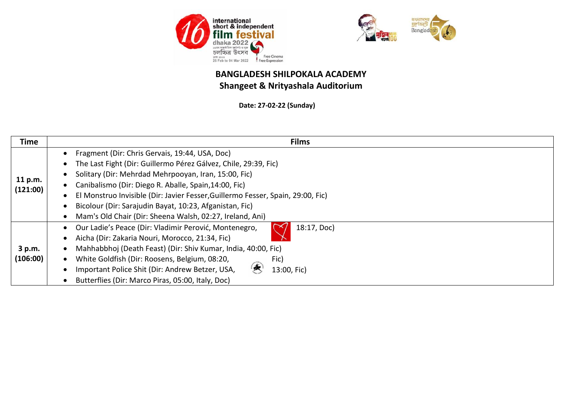



**Date: 27-02-22 (Sunday)**

| <b>Time</b>         | <b>Films</b>                                                                                                                                                                                                                                                                                                                                                                                                                                 |
|---------------------|----------------------------------------------------------------------------------------------------------------------------------------------------------------------------------------------------------------------------------------------------------------------------------------------------------------------------------------------------------------------------------------------------------------------------------------------|
| 11 p.m.<br>(121:00) | Fragment (Dir: Chris Gervais, 19:44, USA, Doc)<br>The Last Fight (Dir: Guillermo Pérez Gálvez, Chile, 29:39, Fic)<br>Solitary (Dir: Mehrdad Mehrpooyan, Iran, 15:00, Fic)<br>Canibalismo (Dir: Diego R. Aballe, Spain, 14:00, Fic)<br>El Monstruo Invisible (Dir: Javier Fesser, Guillermo Fesser, Spain, 29:00, Fic)<br>Bicolour (Dir: Sarajudin Bayat, 10:23, Afganistan, Fic)<br>Mam's Old Chair (Dir: Sheena Walsh, 02:27, Ireland, Ani) |
| 3 p.m.<br>(106:00)  | Our Ladie's Peace (Dir: Vladimir Perović, Montenegro,<br>18:17, Doc)<br>Aicha (Dir: Zakaria Nouri, Morocco, 21:34, Fic)<br>Mahhabbhoj (Death Feast) (Dir: Shiv Kumar, India, 40:00, Fic)<br>White Goldfish (Dir: Roosens, Belgium, 08:20,<br>Fic)<br>Important Police Shit (Dir: Andrew Betzer, USA,<br>13:00, Fic)<br>Butterflies (Dir: Marco Piras, 05:00, Italy, Doc)                                                                     |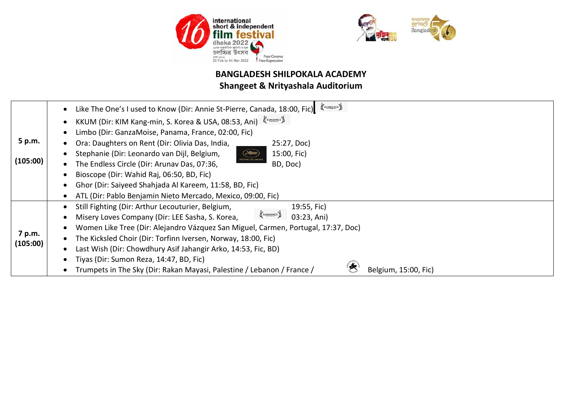



|                    | SUNDANCE<br>Like The One's I used to Know (Dir: Annie St-Pierre, Canada, 18:00, Fic)                |
|--------------------|-----------------------------------------------------------------------------------------------------|
|                    | KKUM (Dir: KIM Kang-min, S. Korea & USA, 08:53, Ani)                                                |
|                    | Limbo (Dir: GanzaMoise, Panama, France, 02:00, Fic)                                                 |
| 5 p.m.             | Ora: Daughters on Rent (Dir: Olivia Das, India,<br>25:27, Doc)                                      |
|                    | ( <del>R</del> ume<br>Stephanie (Dir: Leonardo van Dijl, Belgium,<br>15:00, Fic)                    |
| (105:00)           | <b>ESTIVAL DE CANNE</b><br>The Endless Circle (Dir: Arunav Das, 07:36,<br>BD, Doc)                  |
|                    | Bioscope (Dir: Wahid Raj, 06:50, BD, Fic)                                                           |
|                    | Ghor (Dir: Saiyeed Shahjada Al Kareem, 11:58, BD, Fic)                                              |
|                    | ATL (Dir: Pablo Benjamin Nieto Mercado, Mexico, 09:00, Fic)                                         |
|                    | Still Fighting (Dir: Arthur Lecouturier, Belgium,<br>19:55, Fic)                                    |
|                    | SUNDANCE<br>Misery Loves Company (Dir: LEE Sasha, S. Korea,<br>03:23, Ani)                          |
|                    | Women Like Tree (Dir: Alejandro Vázquez San Miguel, Carmen, Portugal, 17:37, Doc)                   |
| 7 p.m.<br>(105:00) | The Kicksled Choir (Dir: Torfinn Iversen, Norway, 18:00, Fic)                                       |
|                    | Last Wish (Dir: Chowdhury Asif Jahangir Arko, 14:53, Fic, BD)                                       |
|                    | Tiyas (Dir: Sumon Reza, 14:47, BD, Fic)                                                             |
|                    | Œ<br>Trumpets in The Sky (Dir: Rakan Mayasi, Palestine / Lebanon / France /<br>Belgium, 15:00, Fic) |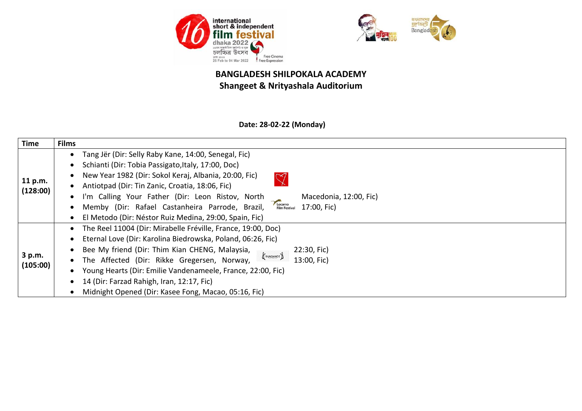



### **Date: 28-02-22 (Monday)**

| <b>Time</b>         | <b>Films</b>                                                                                                                                                                                                                                                                                                                                                                                                                                                                                                                                                                                                                                                     |
|---------------------|------------------------------------------------------------------------------------------------------------------------------------------------------------------------------------------------------------------------------------------------------------------------------------------------------------------------------------------------------------------------------------------------------------------------------------------------------------------------------------------------------------------------------------------------------------------------------------------------------------------------------------------------------------------|
| 11 p.m.<br>(128:00) | Tang Jër (Dir: Selly Raby Kane, 14:00, Senegal, Fic)<br>$\bullet$<br>Schianti (Dir: Tobia Passigato, Italy, 17:00, Doc)<br>New Year 1982 (Dir: Sokol Keraj, Albania, 20:00, Fic)<br>$\heartsuit$<br>Antiotpad (Dir: Tin Zanic, Croatia, 18:06, Fic)<br>I'm Calling Your Father (Dir: Leon Ristov, North<br>Macedonia, 12:00, Fic)<br>$\bullet$<br>Locarno<br>Film Festival<br>Memby (Dir: Rafael Castanheira Parrode, Brazil,<br>17:00, Fic)                                                                                                                                                                                                                     |
| 3 p.m.<br>(105:00)  | El Metodo (Dir: Néstor Ruiz Medina, 29:00, Spain, Fic)<br>$\bullet$<br>The Reel 11004 (Dir: Mirabelle Fréville, France, 19:00, Doc)<br>$\bullet$<br>Eternal Love (Dir: Karolina Biedrowska, Poland, 06:26, Fic)<br>٠<br>Bee My friend (Dir: Thim Kian CHENG, Malaysia,<br>22:30, Fic)<br>$\biggl\langle \begin{array}{c} \end{array} \biggl\langle \begin{array}{c} \end{array} \biggl\rangle_{\text{SUMDANCE}} \biggr\rangle$<br>The Affected (Dir: Rikke Gregersen, Norway,<br>13:00, Fic)<br>Young Hearts (Dir: Emilie Vandenameele, France, 22:00, Fic)<br>14 (Dir: Farzad Rahigh, Iran, 12:17, Fic)<br>Midnight Opened (Dir: Kasee Fong, Macao, 05:16, Fic) |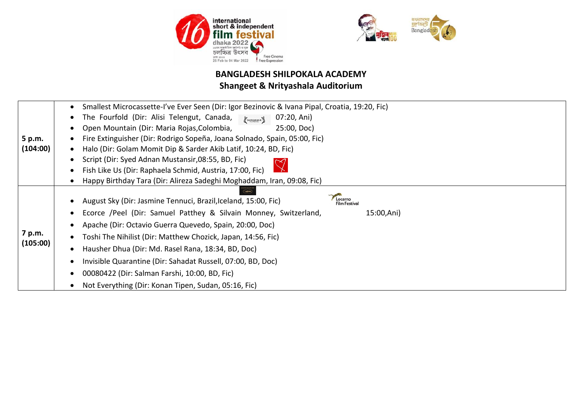



# **BANGLADESH SHILPOKALA ACADEMY**

## **Shangeet & Nrityashala Auditorium**

|                    | Smallest Microcassette-I've Ever Seen (Dir: Igor Bezinovic & Ivana Pipal, Croatia, 19:20, Fic) |  |
|--------------------|------------------------------------------------------------------------------------------------|--|
|                    |                                                                                                |  |
| 5 p.m.<br>(104:00) | The Fourfold (Dir: Alisi Telengut, Canada, Psuggager &<br>07:20, Ani)                          |  |
|                    | Open Mountain (Dir: Maria Rojas, Colombia,<br>25:00, Doc)                                      |  |
|                    | Fire Extinguisher (Dir: Rodrigo Sopeña, Joana Solnado, Spain, 05:00, Fic)                      |  |
|                    | Halo (Dir: Golam Momit Dip & Sarder Akib Latif, 10:24, BD, Fic)                                |  |
|                    | Script (Dir: Syed Adnan Mustansir, 08:55, BD, Fic)                                             |  |
|                    | Fish Like Us (Dir: Raphaela Schmid, Austria, 17:00, Fic)                                       |  |
|                    | Happy Birthday Tara (Dir: Alireza Sadeghi Moghaddam, Iran, 09:08, Fic)                         |  |
| 7 p.m.<br>(105:00) | Locarno                                                                                        |  |
|                    | August Sky (Dir: Jasmine Tennuci, Brazil, Iceland, 15:00, Fic)<br><b>Film Festival</b>         |  |
|                    | Ecorce /Peel (Dir: Samuel Patthey & Silvain Monney, Switzerland,<br>15:00,Ani)                 |  |
|                    | Apache (Dir: Octavio Guerra Quevedo, Spain, 20:00, Doc)                                        |  |
|                    | Toshi The Nihilist (Dir: Matthew Chozick, Japan, 14:56, Fic)                                   |  |
|                    | Hausher Dhua (Dir: Md. Rasel Rana, 18:34, BD, Doc)                                             |  |
|                    | Invisible Quarantine (Dir: Sahadat Russell, 07:00, BD, Doc)                                    |  |
|                    | 00080422 (Dir: Salman Farshi, 10:00, BD, Fic)                                                  |  |
|                    | Not Everything (Dir: Konan Tipen, Sudan, 05:16, Fic)                                           |  |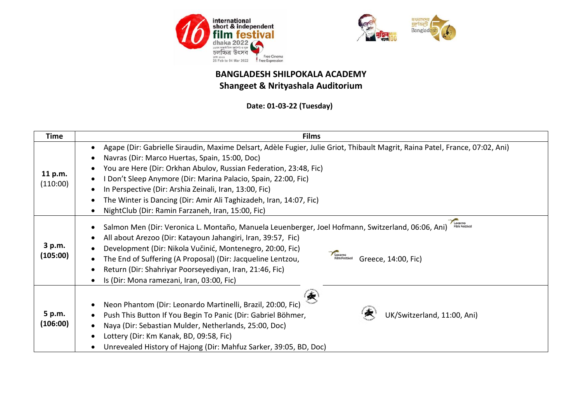



**Date: 01-03-22 (Tuesday)**

| <b>Time</b>         | <b>Films</b>                                                                                                                                                                                                                                                                                                                                                                                                                                                                                                          |
|---------------------|-----------------------------------------------------------------------------------------------------------------------------------------------------------------------------------------------------------------------------------------------------------------------------------------------------------------------------------------------------------------------------------------------------------------------------------------------------------------------------------------------------------------------|
| 11 p.m.<br>(110:00) | Agape (Dir: Gabrielle Siraudin, Maxime Delsart, Adèle Fugier, Julie Griot, Thibault Magrit, Raina Patel, France, 07:02, Ani)<br>$\bullet$<br>Navras (Dir: Marco Huertas, Spain, 15:00, Doc)<br>You are Here (Dir: Orkhan Abulov, Russian Federation, 23:48, Fic)<br>Don't Sleep Anymore (Dir: Marina Palacio, Spain, 22:00, Fic)<br>In Perspective (Dir: Arshia Zeinali, Iran, 13:00, Fic)<br>The Winter is Dancing (Dir: Amir Ali Taghizadeh, Iran, 14:07, Fic)<br>NightClub (Dir: Ramin Farzaneh, Iran, 15:00, Fic) |
| 3 p.m.<br>(105:00)  | Locarno<br>Salmon Men (Dir: Veronica L. Montaño, Manuela Leuenberger, Joel Hofmann, Switzerland, 06:06, Ani)<br><b>Film Festival</b><br>All about Arezoo (Dir: Katayoun Jahangiri, Iran, 39:57, Fic)<br>Development (Dir: Nikola Vučinić, Montenegro, 20:00, Fic)<br>Locarno<br>Film Festival<br>The End of Suffering (A Proposal) (Dir: Jacqueline Lentzou,<br>Greece, 14:00, Fic)<br>Return (Dir: Shahriyar Poorseyediyan, Iran, 21:46, Fic)<br>Is (Dir: Mona ramezani, Iran, 03:00, Fic)                           |
| 5 p.m.<br>(106:00)  | 夤<br>Neon Phantom (Dir: Leonardo Martinelli, Brazil, 20:00, Fic)<br>UK/Switzerland, 11:00, Ani)<br>Push This Button If You Begin To Panic (Dir: Gabriel Böhmer,<br>Naya (Dir: Sebastian Mulder, Netherlands, 25:00, Doc)<br>Lottery (Dir: Km Kanak, BD, 09:58, Fic)<br>Unrevealed History of Hajong (Dir: Mahfuz Sarker, 39:05, BD, Doc)                                                                                                                                                                              |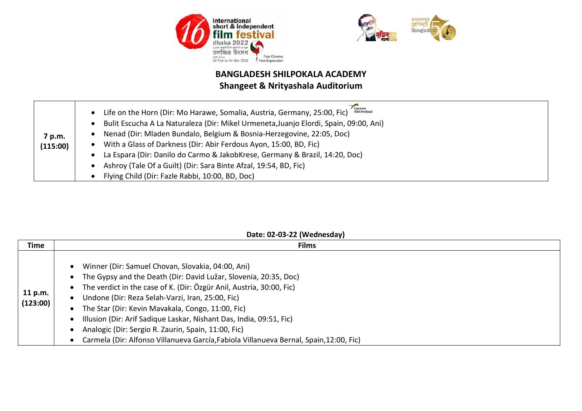



| 7 p.m.<br>(115:00) | Locarno<br><b>Film Festival</b><br>Life on the Horn (Dir: Mo Harawe, Somalia, Austria, Germany, 25:00, Fic)<br>$\bullet$<br>Bulit Escucha A La Naturaleza (Dir: Mikel Urmeneta, Juanjo Elordi, Spain, 09:00, Ani)<br>$\bullet$<br>Nenad (Dir: Mladen Bundalo, Belgium & Bosnia-Herzegovine, 22:05, Doc)<br>With a Glass of Darkness (Dir: Abir Ferdous Ayon, 15:00, BD, Fic)<br>$\bullet$<br>La Espara (Dir: Danilo do Carmo & JakobKrese, Germany & Brazil, 14:20, Doc)<br>$\bullet$<br>Ashroy (Tale Of a Guilt) (Dir: Sara Binte Afzal, 19:54, BD, Fic) |
|--------------------|-----------------------------------------------------------------------------------------------------------------------------------------------------------------------------------------------------------------------------------------------------------------------------------------------------------------------------------------------------------------------------------------------------------------------------------------------------------------------------------------------------------------------------------------------------------|
|                    | Flying Child (Dir: Fazle Rabbi, 10:00, BD, Doc)                                                                                                                                                                                                                                                                                                                                                                                                                                                                                                           |

#### **Date: 02-03-22 (Wednesday)**

| Time<br><b>Films</b><br>Winner (Dir: Samuel Chovan, Slovakia, 04:00, Ani)<br>The Gypsy and the Death (Dir: David Lužar, Slovenia, 20:35, Doc)<br>$\bullet$ | The verdict in the case of K. (Dir: Özgür Anil, Austria, 30:00, Fic)<br>11 p.m.<br>Undone (Dir: Reza Selah-Varzi, Iran, 25:00, Fic)<br>(123:00)<br>The Star (Dir: Kevin Mavakala, Congo, 11:00, Fic)<br>Illusion (Dir: Arif Sadique Laskar, Nishant Das, India, 09:51, Fic)<br>Analogic (Dir: Sergio R. Zaurin, Spain, 11:00, Fic) |
|------------------------------------------------------------------------------------------------------------------------------------------------------------|------------------------------------------------------------------------------------------------------------------------------------------------------------------------------------------------------------------------------------------------------------------------------------------------------------------------------------|
|                                                                                                                                                            |                                                                                                                                                                                                                                                                                                                                    |
|                                                                                                                                                            | Carmela (Dir: Alfonso Villanueva García, Fabiola Villanueva Bernal, Spain, 12:00, Fic)                                                                                                                                                                                                                                             |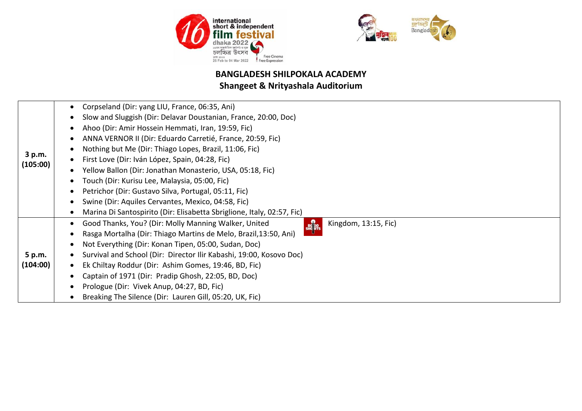



# **BANGLADESH SHILPOKALA ACADEMY**

# **Shangeet & Nrityashala Auditorium**

|                    | Corpseland (Dir: yang LIU, France, 06:35, Ani)                                               |
|--------------------|----------------------------------------------------------------------------------------------|
|                    | Slow and Sluggish (Dir: Delavar Doustanian, France, 20:00, Doc)                              |
|                    | Ahoo (Dir: Amir Hossein Hemmati, Iran, 19:59, Fic)                                           |
|                    | ANNA VERNOR II (Dir: Eduardo Carretié, France, 20:59, Fic)                                   |
|                    | Nothing but Me (Dir: Thiago Lopes, Brazil, 11:06, Fic)                                       |
| 3 p.m.<br>(105:00) | First Love (Dir: Iván López, Spain, 04:28, Fic)                                              |
|                    | Yellow Ballon (Dir: Jonathan Monasterio, USA, 05:18, Fic)                                    |
|                    | Touch (Dir: Kurisu Lee, Malaysia, 05:00, Fic)                                                |
|                    | Petrichor (Dir: Gustavo Silva, Portugal, 05:11, Fic)                                         |
|                    | Swine (Dir: Aquiles Cervantes, Mexico, 04:58, Fic)                                           |
|                    | Marina Di Santospirito (Dir: Elisabetta Sbriglione, Italy, 02:57, Fic)                       |
|                    | Good Thanks, You? (Dir: Molly Manning Walker, United<br>Kingdom, 13:15, Fic)<br><b>BO</b> GO |
|                    | Rasga Mortalha (Dir: Thiago Martins de Melo, Brazil, 13:50, Ani)                             |
|                    | Not Everything (Dir: Konan Tipen, 05:00, Sudan, Doc)                                         |
| 5 p.m.             | Survival and School (Dir: Director Ilir Kabashi, 19:00, Kosovo Doc)                          |
| (104:00)           | Ek Chiltay Roddur (Dir: Ashim Gomes, 19:46, BD, Fic)                                         |
|                    | Captain of 1971 (Dir: Pradip Ghosh, 22:05, BD, Doc)                                          |
|                    | Prologue (Dir: Vivek Anup, 04:27, BD, Fic)                                                   |
|                    | Breaking The Silence (Dir: Lauren Gill, 05:20, UK, Fic)                                      |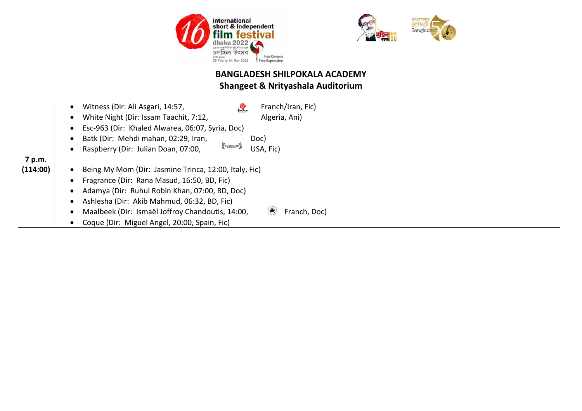



|          | Franch/Iran, Fic)<br>Witness (Dir: Ali Asgari, 14:57,<br>體            |
|----------|-----------------------------------------------------------------------|
|          | White Night (Dir: Issam Taachit, 7:12,<br>Algeria, Ani)               |
|          | Esc-963 (Dir: Khaled Alwarea, 06:07, Syria, Doc)                      |
|          | Batk (Dir: Mehdi mahan, 02:29, Iran,<br>Doc)                          |
|          | SUNDANCE<br>Raspberry (Dir: Julian Doan, 07:00,<br>USA, Fic)          |
| 7 p.m.   |                                                                       |
| (114:00) | Being My Mom (Dir: Jasmine Trinca, 12:00, Italy, Fic)                 |
|          | Fragrance (Dir: Rana Masud, 16:50, BD, Fic)                           |
|          | Adamya (Dir: Ruhul Robin Khan, 07:00, BD, Doc)                        |
|          | Ashlesha (Dir: Akib Mahmud, 06:32, BD, Fic)                           |
|          | 侯<br>Maalbeek (Dir: Ismaël Joffroy Chandoutis, 14:00,<br>Franch, Doc) |
|          | Coque (Dir: Miguel Angel, 20:00, Spain, Fic)                          |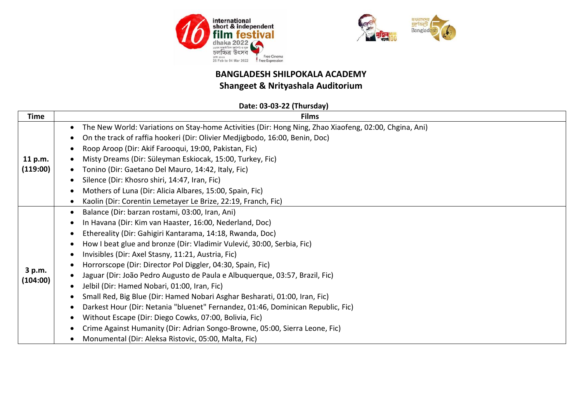



## **BANGLADESH SHILPOKALA ACADEMY**

## **Shangeet & Nrityashala Auditorium**

## **Date: 03-03-22 (Thursday)**

| <b>Time</b>         | <b>Films</b>                                                                                                                                                                                                                                                                                                                                                                                                                                                                                                                                                                                                                                                                                                                                                                                                                                                                        |
|---------------------|-------------------------------------------------------------------------------------------------------------------------------------------------------------------------------------------------------------------------------------------------------------------------------------------------------------------------------------------------------------------------------------------------------------------------------------------------------------------------------------------------------------------------------------------------------------------------------------------------------------------------------------------------------------------------------------------------------------------------------------------------------------------------------------------------------------------------------------------------------------------------------------|
| 11 p.m.<br>(119:00) | The New World: Variations on Stay-home Activities (Dir: Hong Ning, Zhao Xiaofeng, 02:00, Chgina, Ani)<br>$\bullet$<br>On the track of raffia hookeri (Dir: Olivier Medjigbodo, 16:00, Benin, Doc)<br>$\bullet$<br>Roop Aroop (Dir: Akif Farooqui, 19:00, Pakistan, Fic)<br>Misty Dreams (Dir: Süleyman Eskiocak, 15:00, Turkey, Fic)<br>Tonino (Dir: Gaetano Del Mauro, 14:42, Italy, Fic)<br>Silence (Dir: Khosro shiri, 14:47, Iran, Fic)<br>Mothers of Luna (Dir: Alicia Albares, 15:00, Spain, Fic)<br>Kaolin (Dir: Corentin Lemetayer Le Brize, 22:19, Franch, Fic)                                                                                                                                                                                                                                                                                                            |
| 3 p.m.<br>(104:00)  | Balance (Dir: barzan rostami, 03:00, Iran, Ani)<br>In Havana (Dir: Kim van Haaster, 16:00, Nederland, Doc)<br>Ethereality (Dir: Gahigiri Kantarama, 14:18, Rwanda, Doc)<br>How I beat glue and bronze (Dir: Vladimir Vulević, 30:00, Serbia, Fic)<br>Invisibles (Dir: Axel Stasny, 11:21, Austria, Fic)<br>Horrorscope (Dir: Director Pol Diggler, 04:30, Spain, Fic)<br>Jaguar (Dir: João Pedro Augusto de Paula e Albuquerque, 03:57, Brazil, Fic)<br>Jelbil (Dir: Hamed Nobari, 01:00, Iran, Fic)<br>Small Red, Big Blue (Dir: Hamed Nobari Asghar Besharati, 01:00, Iran, Fic)<br>Darkest Hour (Dir: Netania "bluenet" Fernandez, 01:46, Dominican Republic, Fic)<br>Without Escape (Dir: Diego Cowks, 07:00, Bolivia, Fic)<br>$\bullet$<br>Crime Against Humanity (Dir: Adrian Songo-Browne, 05:00, Sierra Leone, Fic)<br>Monumental (Dir: Aleksa Ristovic, 05:00, Malta, Fic) |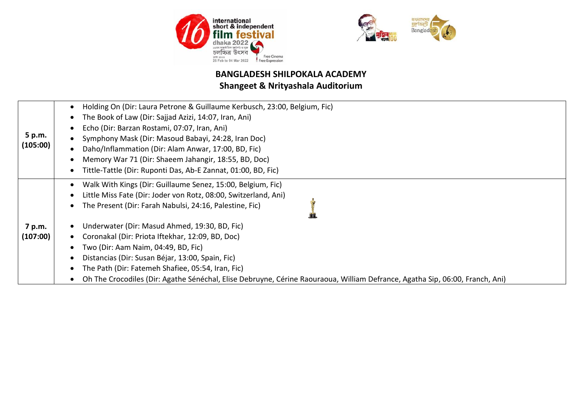



|                    | Holding On (Dir: Laura Petrone & Guillaume Kerbusch, 23:00, Belgium, Fic)                                                    |
|--------------------|------------------------------------------------------------------------------------------------------------------------------|
| 5 p.m.<br>(105:00) | The Book of Law (Dir: Sajjad Azizi, 14:07, Iran, Ani)                                                                        |
|                    | Echo (Dir: Barzan Rostami, 07:07, Iran, Ani)                                                                                 |
|                    | Symphony Mask (Dir: Masoud Babayi, 24:28, Iran Doc)                                                                          |
|                    | Daho/Inflammation (Dir: Alam Anwar, 17:00, BD, Fic)                                                                          |
|                    | Memory War 71 (Dir: Shaeem Jahangir, 18:55, BD, Doc)                                                                         |
|                    | Tittle-Tattle (Dir: Ruponti Das, Ab-E Zannat, 01:00, BD, Fic)                                                                |
|                    | Walk With Kings (Dir: Guillaume Senez, 15:00, Belgium, Fic)                                                                  |
|                    | Little Miss Fate (Dir: Joder von Rotz, 08:00, Switzerland, Ani)                                                              |
|                    | The Present (Dir: Farah Nabulsi, 24:16, Palestine, Fic)                                                                      |
|                    |                                                                                                                              |
| 7 p.m.             | Underwater (Dir: Masud Ahmed, 19:30, BD, Fic)                                                                                |
| (107:00)           | Coronakal (Dir: Priota Iftekhar, 12:09, BD, Doc)                                                                             |
|                    | Two (Dir: Aam Naim, 04:49, BD, Fic)                                                                                          |
|                    | Distancias (Dir: Susan Béjar, 13:00, Spain, Fic)                                                                             |
|                    | The Path (Dir: Fatemeh Shafiee, 05:54, Iran, Fic)                                                                            |
|                    | Oh The Crocodiles (Dir: Agathe Sénéchal, Elise Debruyne, Cérine Raouraoua, William Defrance, Agatha Sip, 06:00, Franch, Ani) |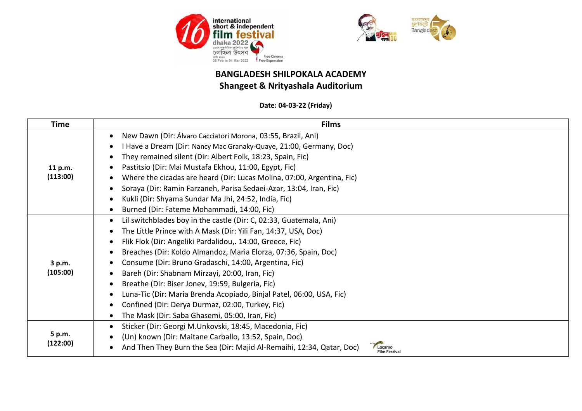



#### **Date: 04-03-22 (Friday)**

| Time     | <b>Films</b>                                                                                                          |
|----------|-----------------------------------------------------------------------------------------------------------------------|
|          | New Dawn (Dir: Álvaro Cacciatori Morona, 03:55, Brazil, Ani)<br>$\bullet$                                             |
|          | Have a Dream (Dir: Nancy Mac Granaky-Quaye, 21:00, Germany, Doc)<br>٠                                                 |
|          | They remained silent (Dir: Albert Folk, 18:23, Spain, Fic)<br>$\bullet$                                               |
| 11 p.m.  | Pastitsio (Dir: Mai Mustafa Ekhou, 11:00, Egypt, Fic)<br>$\bullet$                                                    |
| (113:00) | Where the cicadas are heard (Dir: Lucas Molina, 07:00, Argentina, Fic)<br>$\bullet$                                   |
|          | Soraya (Dir: Ramin Farzaneh, Parisa Sedaei-Azar, 13:04, Iran, Fic)<br>$\bullet$                                       |
|          | Kukli (Dir: Shyama Sundar Ma Jhi, 24:52, India, Fic)<br>€                                                             |
|          | Burned (Dir: Fateme Mohammadi, 14:00, Fic)<br>$\bullet$                                                               |
|          | Lil switchblades boy in the castle (Dir: C, 02:33, Guatemala, Ani)<br>$\bullet$                                       |
|          | The Little Prince with A Mask (Dir: Yili Fan, 14:37, USA, Doc)<br>$\bullet$                                           |
|          | Flik Flok (Dir: Angeliki Pardalidou,. 14:00, Greece, Fic)<br>$\bullet$                                                |
|          | Breaches (Dir: Koldo Almandoz, Maria Elorza, 07:36, Spain, Doc)<br>$\bullet$                                          |
| 3 p.m.   | Consume (Dir: Bruno Gradaschi, 14:00, Argentina, Fic)<br>٠                                                            |
| (105:00) | Bareh (Dir: Shabnam Mirzayi, 20:00, Iran, Fic)<br>$\bullet$                                                           |
|          | Breathe (Dir: Biser Jonev, 19:59, Bulgeria, Fic)<br>$\bullet$                                                         |
|          | Luna-Tic (Dir: Maria Brenda Acopiado, Binjal Patel, 06:00, USA, Fic)<br>$\bullet$                                     |
|          | Confined (Dir: Derya Durmaz, 02:00, Turkey, Fic)<br>$\bullet$                                                         |
|          | The Mask (Dir: Saba Ghasemi, 05:00, Iran, Fic)<br>٠                                                                   |
|          | Sticker (Dir: Georgi M.Unkovski, 18:45, Macedonia, Fic)<br>٠                                                          |
| 5 p.m.   | (Un) known (Dir: Maitane Carballo, 13:52, Spain, Doc)<br>$\bullet$                                                    |
| (122:00) | And Then They Burn the Sea (Dir: Majid Al-Remaihi, 12:34, Qatar, Doc)<br>Locarno<br>$\bullet$<br><b>Film Festival</b> |